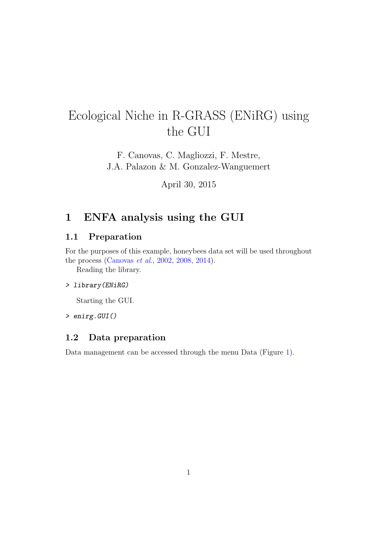# Ecological Niche in R-GRASS (ENiRG) using the GUI

F. Canovas, C. Magliozzi, F. Mestre, J.A. Palazon & M. Gonzalez-Wanguemert

April 30, 2015

### 1 ENFA analysis using the GUI

#### 1.1 Preparation

For the purposes of this example, honeybees data set will be used throughout the process [\(Canovas](#page-10-0) et al., [2002,](#page-10-0) [2008,](#page-10-1) [2014\)](#page-10-2).

Reading the library.

#### > library(ENiRG)

Starting the GUI.

> enirg.GUI()

#### 1.2 Data preparation

Data management can be accessed through the menu Data (Figure [1\)](#page-1-0).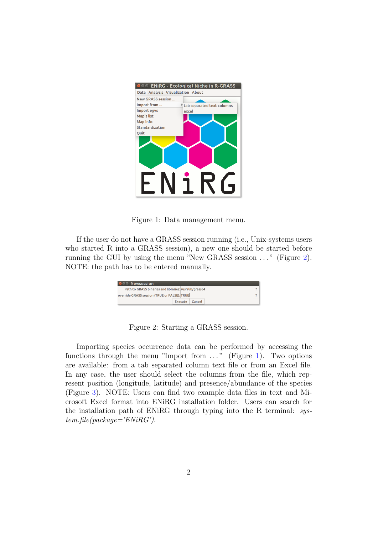

Figure 1: Data management menu.

If the user do not have a GRASS session running (i.e., Unix-systems users who started R into a GRASS session), a new one should be started before running the GUI by using the menu "New GRASS session ..." (Figure [2\)](#page-1-1). NOTE: the path has to be entered manually.

<span id="page-1-0"></span>

| <b>O Newsession</b>                                    |                   |  |  |
|--------------------------------------------------------|-------------------|--|--|
| Path to GRASS binaries and libraries: /usr/lib/grass64 |                   |  |  |
| override GRASS session (TRUE or FALSE): TRUE           |                   |  |  |
|                                                        | Cancel<br>Execute |  |  |

<span id="page-1-1"></span>Figure 2: Starting a GRASS session.

Importing species occurrence data can be performed by accessing the functions through the menu "Import from  $\dots$ " (Figure [1\)](#page-1-0). Two options are available: from a tab separated column text file or from an Excel file. In any case, the user should select the columns from the file, which represent position (longitude, latitude) and presence/abundance of the species (Figure [3\)](#page-2-0). NOTE: Users can find two example data files in text and Microsoft Excel format into ENiRG installation folder. Users can search for the installation path of ENiRG through typing into the R terminal: sys $tem.file(package='ENiRG')$ .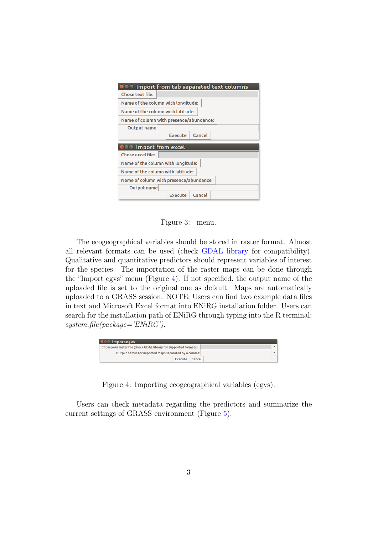| ◎ Import from tab separated text columns |
|------------------------------------------|
| <b>Chose text file:</b>                  |
| Name of the column with longitude:       |
| Name of the column with latitude:        |
| Name of column with presence/abundance:  |
| Output name                              |
| Cancel<br>Execute                        |
|                                          |
| <b>OO</b> Import from excel              |
| Chose excel file:                        |
| Name of the column with longitude:       |
| Name of the column with latitude:        |
| Name of column with presence/abundance:  |
| <b>Output</b> name                       |

<span id="page-2-0"></span>Figure 3: menu.

The ecogeographical variables should be stored in raster format. Almost all relevant formats can be used (check [GDAL library](http://www.gdal.org/formats_list.html) for compatibility). Qualitative and quantitative predictors should represent variables of interest for the species. The importation of the raster maps can be done through the "Import egvs" menu (Figure [4\)](#page-2-1). If not specified, the output name of the uploaded file is set to the original one as default. Maps are automatically uploaded to a GRASS session. NOTE: Users can find two example data files in text and Microsoft Excel format into ENiRG installation folder. Users can search for the installation path of ENiRG through typing into the R terminal:  $system$ .file(package='ENiRG').

| $\bullet$ $\bullet$ import.egvs                                    |                |  |
|--------------------------------------------------------------------|----------------|--|
| Chose your raster file (check GDAL library for supported formats): |                |  |
| Output names for imported maps separated by a comma:               |                |  |
|                                                                    | Execute Cancel |  |

<span id="page-2-1"></span>Figure 4: Importing ecogeographical variables (egvs).

Users can check metadata regarding the predictors and summarize the current settings of GRASS environment (Figure [5\)](#page-3-0).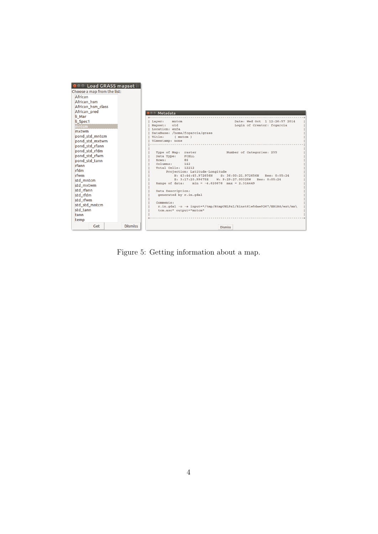| I VIT III LOAD GRASS MAPSEE III |                                                                                    |
|---------------------------------|------------------------------------------------------------------------------------|
| Choose a map from the list:     |                                                                                    |
| African                         |                                                                                    |
| African hsm                     |                                                                                    |
| African_hsm_class               |                                                                                    |
| African pred                    | <b>O Metadata</b>                                                                  |
| li Mar                          |                                                                                    |
| li Spec1                        | Date: Wed Oct 1 12:26:57 2014<br>mntcm<br>Layer:                                   |
| mntcm                           | Mapset:<br>old<br>Login of Creator: fcgarcia                                       |
| mxtwm                           | Location: enfa<br>DataBase: /home/fcgarcia/grass                                   |
| pond_std_mntcm                  | Title:<br>(mntcm)                                                                  |
| pond std mxtwm                  | Timestamp: none                                                                    |
| pond std rfann                  |                                                                                    |
| pond_std_rfdm                   | Number of Categories: 255<br>Type of Map: raster                                   |
| pond std rfwm                   | FCELL<br>Data Type:                                                                |
| pond std tann                   | 86<br>Rows:                                                                        |
| rfann                           | Columns:<br>142<br>Total Cells: 12212                                              |
| rfdm                            | Projection: Latitude-Longitude                                                     |
| rfwm                            | N: 43:44:45.972656N<br>S: 36:00:21.972656N<br>Res: 0:05:24                         |
| std mntcm                       | E: 3:17:20.99675E W: 9:29:27.00325W Res: 0:05:24                                   |
| std_mxtwm                       | Range of data: $min = -4.620676$ $max = 2.314449$                                  |
| std rfann                       | Data Description:                                                                  |
| std rfdm                        | generated by r.in.gdal                                                             |
| std rfwm                        |                                                                                    |
| std std mntcm                   | Comments:<br>r.in.qdal -o -e input="/tmp/RtmpUHL9x1/Rinst61e5dae9267/ENiRG/ext/mn\ |
| std_tann                        | tcm.asc" output="mntcm"                                                            |
| <b>tann</b>                     |                                                                                    |
| temp                            |                                                                                    |
| Get<br><b>Dismiss</b>           | <b>Dismiss</b>                                                                     |

<span id="page-3-0"></span>Figure 5: Getting information about a map.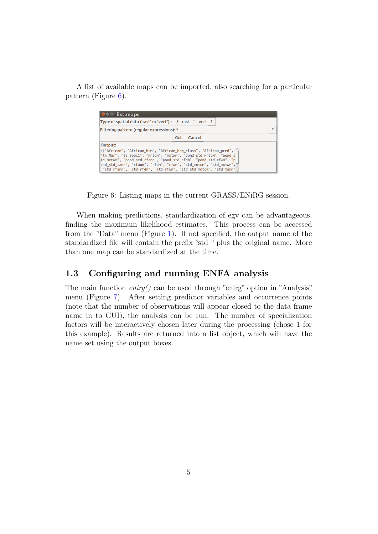A list of available maps can be imported, also searching for a particular pattern (Figure [6\)](#page-4-0).

| <b>O</b> Ist.maps                                                                                                                                                                                                                                                                                                                                         |                                                                         |        |  |  |
|-----------------------------------------------------------------------------------------------------------------------------------------------------------------------------------------------------------------------------------------------------------------------------------------------------------------------------------------------------------|-------------------------------------------------------------------------|--------|--|--|
|                                                                                                                                                                                                                                                                                                                                                           | Type of spatial data ('rast' or 'vect'):: $\bullet$ rast $\circ$ vect ? |        |  |  |
| Filtering pattern (regular expressions): *                                                                                                                                                                                                                                                                                                                |                                                                         |        |  |  |
|                                                                                                                                                                                                                                                                                                                                                           | Get                                                                     | Cancel |  |  |
| Output:                                                                                                                                                                                                                                                                                                                                                   |                                                                         |        |  |  |
| c("African", "African_hsm", "African_hsm_class", "African_pred",    <br>"li_Mar", "li_Spec1", "mntcm", "mxtwm", "pond_std_mntcm", "pond_s<br> td mxtwm", "pond std_rfann", "pond std_rfdm", "pond std_rfwm", "p <br>ond_std_tann", "rfann", "rfdm", "rfwm", "std_mntcm", "std mxtwm",<br>"std_rfann", "std_rfdm", "std_rfwm", "std_std_mntcm", "std_tann" |                                                                         |        |  |  |

<span id="page-4-0"></span>Figure 6: Listing maps in the current GRASS/ENiRG session.

When making predictions, standardization of egv can be advantageous, finding the maximum likelihood estimates. This process can be accessed from the "Data" menu (Figure [1\)](#page-1-0). If not specified, the output name of the standardized file will contain the prefix "std\_" plus the original name. More than one map can be standardized at the time.

#### 1.3 Configuring and running ENFA analysis

The main function enirg() can be used through "enirg" option in "Analysis" menu (Figure [7\)](#page-5-0). After setting predictor variables and occurrence points (note that the number of observations will appear closed to the data frame name in to GUI), the analysis can be run. The number of specialization factors will be interactively chosen later during the processing (chose 1 for this example). Results are returned into a list object, which will have the name set using the output boxes.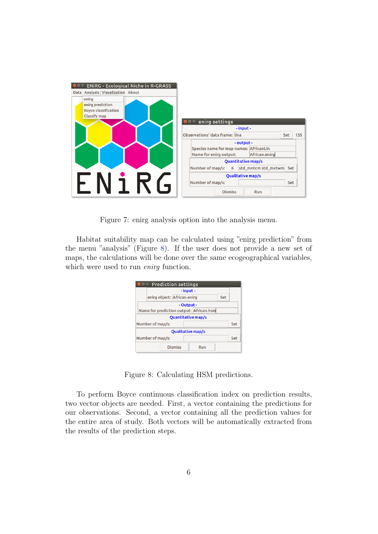| <b>OOO ENIRG - Ecological Niche in R-GRASS</b>                                  |                                                                                                 |
|---------------------------------------------------------------------------------|-------------------------------------------------------------------------------------------------|
| Data Analysis Visualization About                                               |                                                                                                 |
| enirg<br>enirg prediction<br><b>Boyce classification</b><br><b>Classify map</b> |                                                                                                 |
|                                                                                 | enirg settings<br>$\bullet\bullet\bullet$                                                       |
|                                                                                 | -input-<br>Observations' data frame: lina<br>135<br><b>Set</b>                                  |
|                                                                                 | - output -<br>Species name for map names: AfricanLin<br>African.enirg<br>Name for enirg output: |
|                                                                                 | <b>Quantitative map/s</b>                                                                       |
|                                                                                 | Number of map/s: 6<br>std_mntcm std_mxtwm Set                                                   |
|                                                                                 | <b>Qualitative map/s</b>                                                                        |
|                                                                                 | Number of map/s:<br>Set                                                                         |
|                                                                                 | <b>Dismiss</b><br><b>Run</b>                                                                    |

<span id="page-5-0"></span>Figure 7: enirg analysis option into the analysis menu.

Habitat suitability map can be calculated using "enirg prediction" from the menu "analysis" (Figure [8\)](#page-5-1). If the user does not provide a new set of maps, the calculations will be done over the same ecogeographical variables, which were used to run *enirg* function.

| <b>Prediction settings</b><br>$\blacksquare$ |                             |                |                                         |     |     |
|----------------------------------------------|-----------------------------|----------------|-----------------------------------------|-----|-----|
|                                              |                             | - Input -      |                                         |     |     |
|                                              | enirg object: African.enirg |                |                                         | Set |     |
|                                              |                             | - Output -     |                                         |     |     |
|                                              |                             |                | Name for prediction output: African.hsm |     |     |
|                                              |                             |                | <b>Ouantitative map/s</b>               |     |     |
|                                              | Number of map/s:            |                |                                         |     | Set |
|                                              |                             |                | <b>Qualitative map/s</b>                |     |     |
| Number of map/s:                             |                             |                |                                         | Set |     |
|                                              |                             | <b>Dismiss</b> | Run                                     |     |     |

<span id="page-5-1"></span>Figure 8: Calculating HSM predictions.

To perform Boyce continuous classification index on prediction results, two vector objects are needed. First, a vector containing the predictions for our observations. Second, a vector containing all the prediction values for the entire area of study. Both vectors will be automatically extracted from the results of the prediction steps.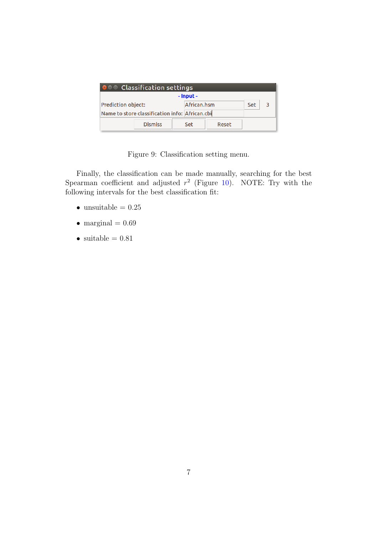| <b>OCO</b> Classification settings             |                |  |             |       |     |  |
|------------------------------------------------|----------------|--|-------------|-------|-----|--|
| - Input -                                      |                |  |             |       |     |  |
| <b>Prediction object:</b>                      |                |  | African.hsm |       | Set |  |
| Name to store classification info: African.cbi |                |  |             |       |     |  |
|                                                | <b>Dismiss</b> |  | Set         | Reset |     |  |

Figure 9: Classification setting menu.

Finally, the classification can be made manually, searching for the best Spearman coefficient and adjusted  $r^2$  (Figure [10\)](#page-7-0). NOTE: Try with the following intervals for the best classification fit:

- $\bullet\,$ unsuitable =  $0.25$
- marginal  $= 0.69$
- suitable  $= 0.81$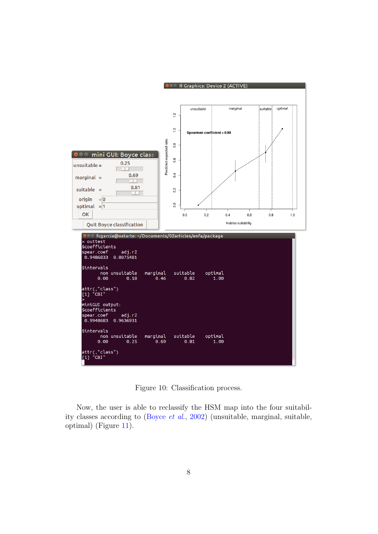

<span id="page-7-0"></span>Figure 10: Classification process.

Now, the user is able to reclassify the HSM map into the four suitability classes according to [\(Boyce](#page-10-3) et al., [2002\)](#page-10-3) (unsuitable, marginal, suitable, optimal) (Figure [11\)](#page-8-0).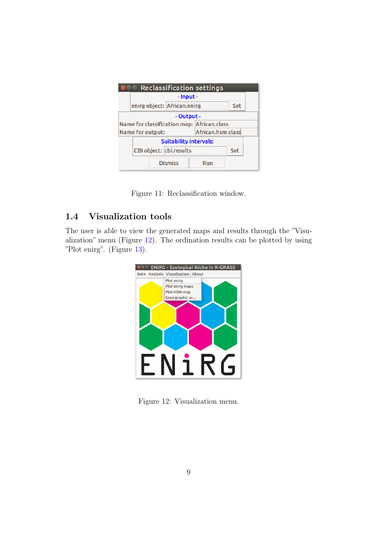| <b>®●</b> ® Reclassification settings |                                              |     |  |  |
|---------------------------------------|----------------------------------------------|-----|--|--|
|                                       | - Input -                                    |     |  |  |
|                                       | enirg object: African.enirg                  |     |  |  |
|                                       | - Output -                                   |     |  |  |
|                                       | Name for classification map: African.class   |     |  |  |
|                                       | African.hsm.class<br><b>Name for output:</b> |     |  |  |
|                                       | <b>Suitability intervals:</b>                |     |  |  |
| CBI object: cbi.results<br>Set        |                                              |     |  |  |
|                                       | <b>Dismiss</b>                               | Run |  |  |

<span id="page-8-0"></span>Figure 11: Reclassification window.

### 1.4 Visualization tools

The user is able to view the generated maps and results through the "Visualization" menu (Figure [12\)](#page-8-1). The ordination results can be plotted by using "Plot enirg". (Figure [13\)](#page-9-0).



<span id="page-8-1"></span>Figure 12: Visualization menu.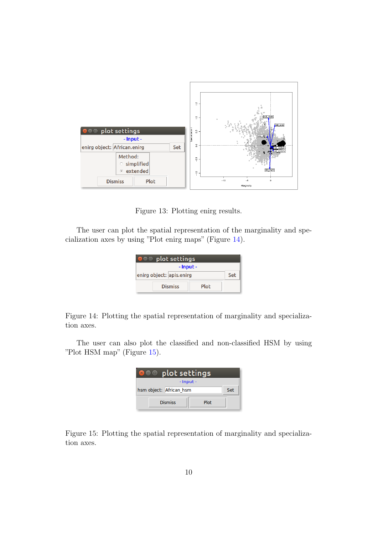

<span id="page-9-0"></span>Figure 13: Plotting enirg results.

The user can plot the spatial representation of the marginality and specialization axes by using "Plot enirg maps" (Figure [14\)](#page-9-1).

| $\bullet$ $\bullet$ plot settings<br>×. |  |  |  |  |
|-----------------------------------------|--|--|--|--|
| - Input -                               |  |  |  |  |
| enirg object: apis.enirg<br>Set         |  |  |  |  |
| <b>Dismiss</b><br>Plot                  |  |  |  |  |

<span id="page-9-1"></span>Figure 14: Plotting the spatial representation of marginality and specialization axes.

The user can also plot the classified and non-classified HSM by using "Plot HSM map" (Figure [15\)](#page-9-2).

| $\bullet\, \bullet\,$ plot settings<br>$\times$ |  |  |  |  |
|-------------------------------------------------|--|--|--|--|
| - Input -                                       |  |  |  |  |
| hsm object: African hsm<br>Set                  |  |  |  |  |
| <b>Dismiss</b><br>Plot                          |  |  |  |  |

<span id="page-9-2"></span>Figure 15: Plotting the spatial representation of marginality and specialization axes.